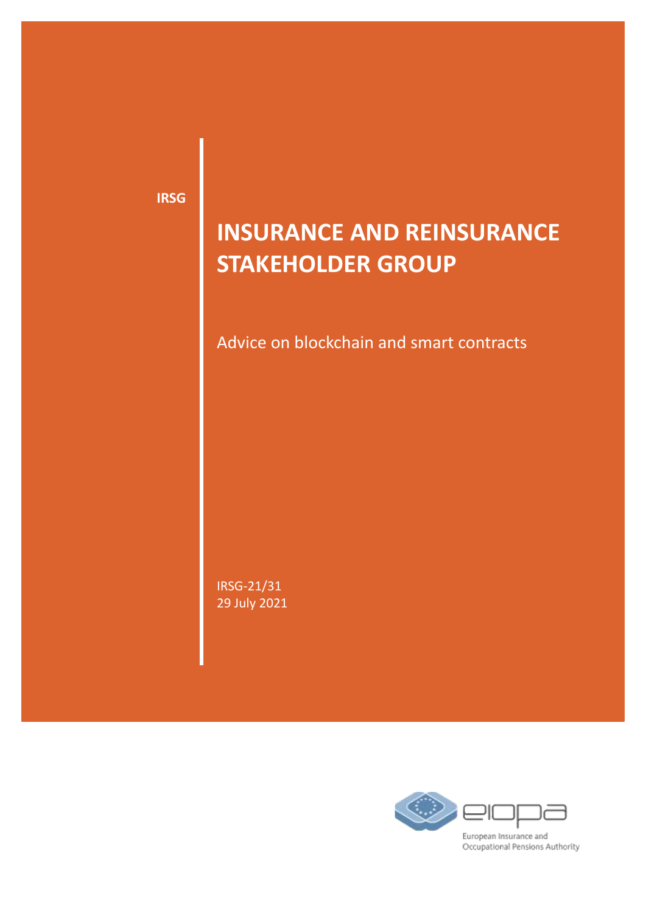**IRSG**

# **INSURANCE AND REINSURANCE STAKEHOLDER GROUP**

Advice on blockchain and smart contracts

IRSG-21/31 29 July 2021

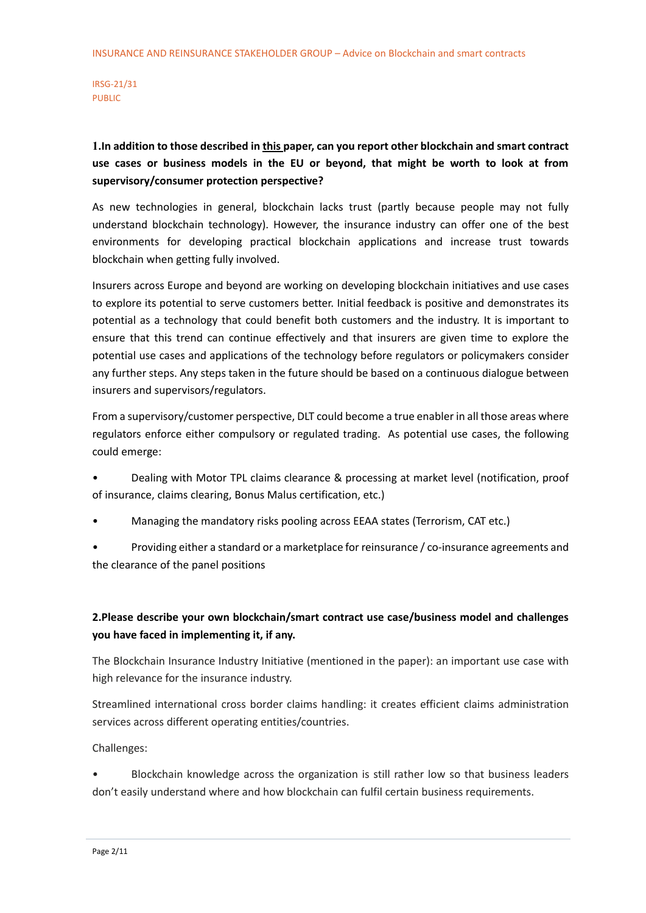# **1.In addition to those described in [this p](https://www.eiopa.europa.eu/content/discussion-paper-blockchain-and-smart-contracts-insurance)aper, can you report other blockchain and smart contract use cases or business models in the EU or beyond, that might be worth to look at from supervisory/consumer protection perspective?**

As new technologies in general, blockchain lacks trust (partly because people may not fully understand blockchain technology). However, the insurance industry can offer one of the best environments for developing practical blockchain applications and increase trust towards blockchain when getting fully involved.

Insurers across Europe and beyond are working on developing blockchain initiatives and use cases to explore its potential to serve customers better. Initial feedback is positive and demonstrates its potential as a technology that could benefit both customers and the industry. It is important to ensure that this trend can continue effectively and that insurers are given time to explore the potential use cases and applications of the technology before regulators or policymakers consider any further steps. Any steps taken in the future should be based on a continuous dialogue between insurers and supervisors/regulators.

From a supervisory/customer perspective, DLT could become a true enabler in all those areas where regulators enforce either compulsory or regulated trading. As potential use cases, the following could emerge:

- Dealing with Motor TPL claims clearance & processing at market level (notification, proof of insurance, claims clearing, Bonus Malus certification, etc.)
- Managing the mandatory risks pooling across EEAA states (Terrorism, CAT etc.)
- Providing either a standard or a marketplace for reinsurance / co-insurance agreements and the clearance of the panel positions

# **2.Please describe your own blockchain/smart contract use case/business model and challenges you have faced in implementing it, if any.**

The Blockchain Insurance Industry Initiative (mentioned in the paper): an important use case with high relevance for the insurance industry.

Streamlined international cross border claims handling: it creates efficient claims administration services across different operating entities/countries.

Challenges:

• Blockchain knowledge across the organization is still rather low so that business leaders don't easily understand where and how blockchain can fulfil certain business requirements.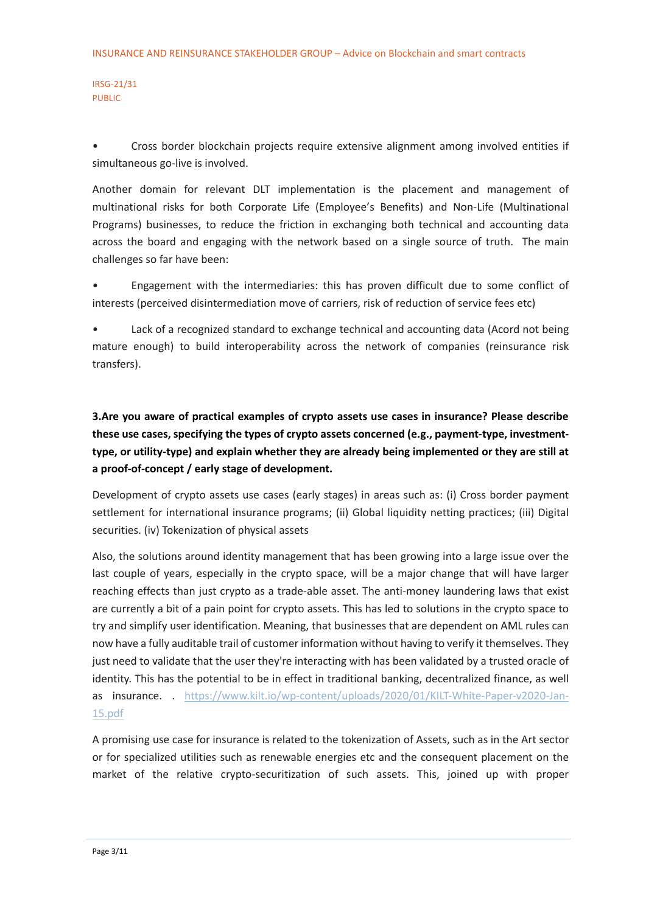• Cross border blockchain projects require extensive alignment among involved entities if simultaneous go-live is involved.

Another domain for relevant DLT implementation is the placement and management of multinational risks for both Corporate Life (Employee's Benefits) and Non-Life (Multinational Programs) businesses, to reduce the friction in exchanging both technical and accounting data across the board and engaging with the network based on a single source of truth. The main challenges so far have been:

• Engagement with the intermediaries: this has proven difficult due to some conflict of interests (perceived disintermediation move of carriers, risk of reduction of service fees etc)

Lack of a recognized standard to exchange technical and accounting data (Acord not being mature enough) to build interoperability across the network of companies (reinsurance risk transfers).

**3.Are you aware of practical examples of crypto assets use cases in insurance? Please describe these use cases, specifying the types of crypto assets concerned (e.g., payment-type, investmenttype, or utility-type) and explain whether they are already being implemented or they are still at a proof-of-concept / early stage of development.**

Development of crypto assets use cases (early stages) in areas such as: (i) Cross border payment settlement for international insurance programs; (ii) Global liquidity netting practices; (iii) Digital securities. (iv) Tokenization of physical assets

Also, the solutions around identity management that has been growing into a large issue over the last couple of years, especially in the crypto space, will be a major change that will have larger reaching effects than just crypto as a trade-able asset. The anti-money laundering laws that exist are currently a bit of a pain point for crypto assets. This has led to solutions in the crypto space to try and simplify user identification. Meaning, that businesses that are dependent on AML rules can now have a fully auditable trail of customer information without having to verify it themselves. They just need to validate that the user they're interacting with has been validated by a trusted oracle of identity. This has the potential to be in effect in traditional banking, decentralized finance, as well as insurance. . [https://www.kilt.io/wp-content/uploads/2020/01/KILT-White-Paper-v2020-Jan-](https://www.kilt.io/wp-content/uploads/2020/01/KILT-White-Paper-v2020-Jan-15.pdf)[15.pdf](https://www.kilt.io/wp-content/uploads/2020/01/KILT-White-Paper-v2020-Jan-15.pdf)

A promising use case for insurance is related to the tokenization of Assets, such as in the Art sector or for specialized utilities such as renewable energies etc and the consequent placement on the market of the relative crypto-securitization of such assets. This, joined up with proper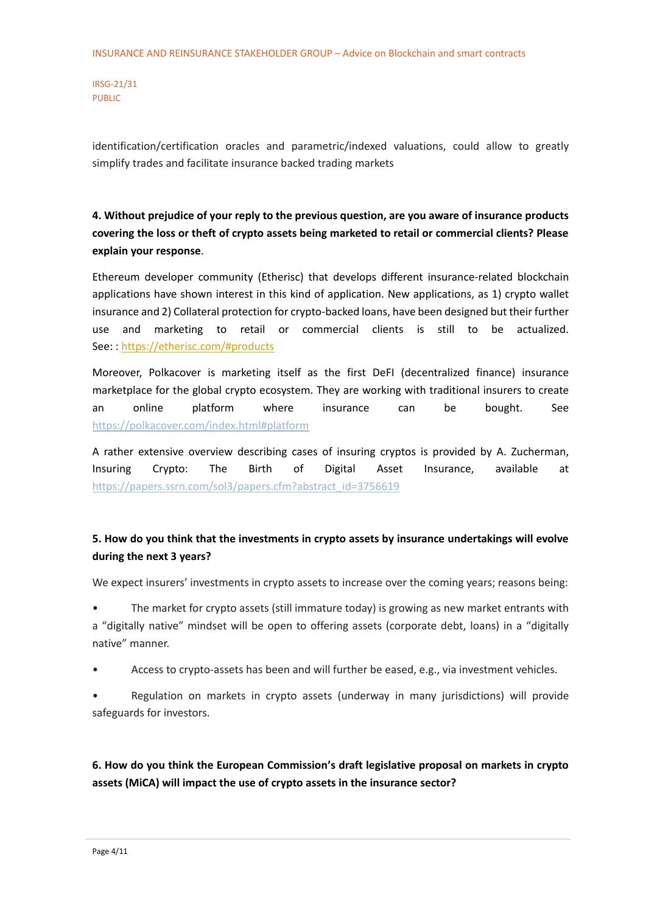identification/certification oracles and parametric/indexed valuations, could allow to greatly simplify trades and facilitate insurance backed trading markets

**4. Without prejudice of your reply to the previous question, are you aware of insurance products covering the loss or theft of crypto assets being marketed to retail or commercial clients? Please explain your response**.

Ethereum developer community (Etherisc) that develops different insurance-related blockchain applications have shown interest in this kind of application. New applications, as 1) crypto wallet insurance and 2) Collateral protection for crypto-backed loans, have been designed but their further use and marketing to retail or commercial clients is still to be actualized. See: : [https://etherisc.com/#products](https://eur03.safelinks.protection.outlook.com/?url=https%3A%2F%2Fetherisc.com%2F%23products&data=04%7C01%7CPierpaolo.Marano%40unicatt.it%7Cefe6f22ab9a34077315308d93c091c44%7Cb94f7d7481ff44a9b5886682acc85779%7C0%7C0%7C637606832097183576%7CUnknown%7CTWFpbGZsb3d8eyJWIjoiMC4wLjAwMDAiLCJQIjoiV2luMzIiLCJBTiI6Ik1haWwiLCJXVCI6Mn0%3D%7C1000&sdata=wOSw2Hr%2Be8BXQch4On7ZK%2FmLaeJyG6zDMCRKyuVHZ%2FM%3D&reserved=0)

Moreover, Polkacover is marketing itself as the first DeFI (decentralized finance) insurance marketplace for the global crypto ecosystem. They are working with traditional insurers to create an online platform where insurance can be bought. See [https://polkacover.com/index.html#platform](https://eur03.safelinks.protection.outlook.com/?url=https%3A%2F%2Fpolkacover.com%2Findex.html%23platform&data=04%7C01%7CPierpaolo.Marano%40unicatt.it%7C1ff4db7101b7447267af08d93af253ed%7Cb94f7d7481ff44a9b5886682acc85779%7C0%7C0%7C637605635963920204%7CUnknown%7CTWFpbGZsb3d8eyJWIjoiMC4wLjAwMDAiLCJQIjoiV2luMzIiLCJBTiI6Ik1haWwiLCJXVCI6Mn0%3D%7C1000&sdata=6rRn3yh2nCg7U7KgnZAZeJXetRp9x%2B43cyMxdkgB5ek%3D&reserved=0)

A rather extensive overview describing cases of insuring cryptos is provided by A. Zucherman, Insuring Crypto: The Birth of Digital Asset Insurance, available at [https://papers.ssrn.com/sol3/papers.cfm?abstract\\_id=3756619](https://papers.ssrn.com/sol3/papers.cfm?abstract_id=3756619)

## **5. How do you think that the investments in crypto assets by insurance undertakings will evolve during the next 3 years?**

We expect insurers' investments in crypto assets to increase over the coming years; reasons being:

• The market for crypto assets (still immature today) is growing as new market entrants with a "digitally native" mindset will be open to offering assets (corporate debt, loans) in a "digitally native" manner.

- Access to crypto-assets has been and will further be eased, e.g., via investment vehicles.
- Regulation on markets in crypto assets (underway in many jurisdictions) will provide safeguards for investors.

**6. How do you think the European Commission's draft legislative proposal on markets in crypto assets (MiCA) will impact the use of crypto assets in the insurance sector?**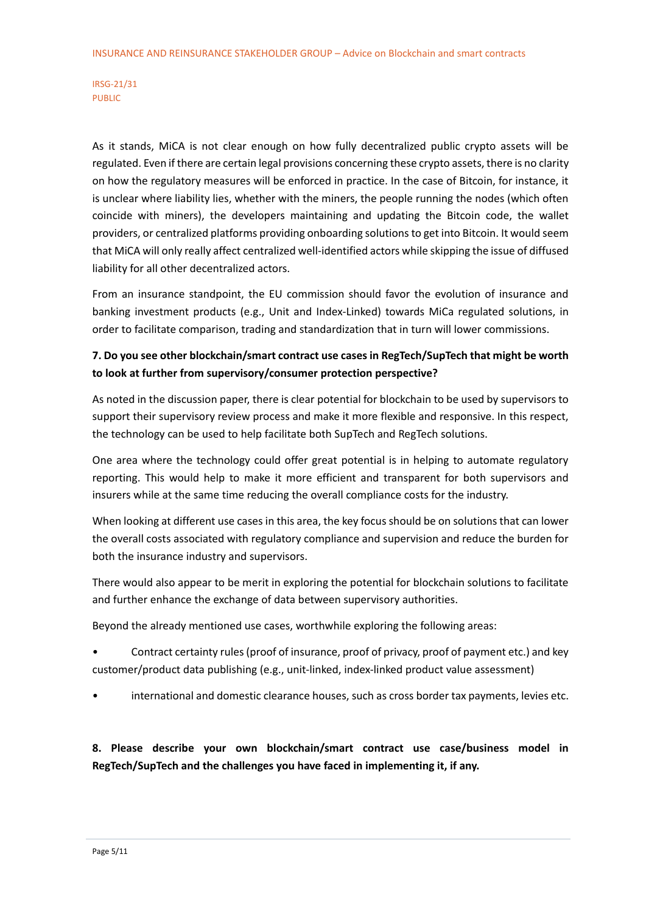As it stands, MiCA is not clear enough on how fully decentralized public crypto assets will be regulated. Even if there are certain legal provisions concerning these crypto assets, there is no clarity on how the regulatory measures will be enforced in practice. In the case of Bitcoin, for instance, it is unclear where liability lies, whether with the miners, the people running the nodes (which often coincide with miners), the developers maintaining and updating the Bitcoin code, the wallet providers, or centralized platforms providing onboarding solutions to get into Bitcoin. It would seem that MiCA will only really affect centralized well-identified actors while skipping the issue of diffused liability for all other decentralized actors.

From an insurance standpoint, the EU commission should favor the evolution of insurance and banking investment products (e.g., Unit and Index-Linked) towards MiCa regulated solutions, in order to facilitate comparison, trading and standardization that in turn will lower commissions.

## **7. Do you see other blockchain/smart contract use cases in RegTech/SupTech that might be worth to look at further from supervisory/consumer protection perspective?**

As noted in the discussion paper, there is clear potential for blockchain to be used by supervisors to support their supervisory review process and make it more flexible and responsive. In this respect, the technology can be used to help facilitate both SupTech and RegTech solutions.

One area where the technology could offer great potential is in helping to automate regulatory reporting. This would help to make it more efficient and transparent for both supervisors and insurers while at the same time reducing the overall compliance costs for the industry.

When looking at different use cases in this area, the key focus should be on solutions that can lower the overall costs associated with regulatory compliance and supervision and reduce the burden for both the insurance industry and supervisors.

There would also appear to be merit in exploring the potential for blockchain solutions to facilitate and further enhance the exchange of data between supervisory authorities.

Beyond the already mentioned use cases, worthwhile exploring the following areas:

- Contract certainty rules (proof of insurance, proof of privacy, proof of payment etc.) and key customer/product data publishing (e.g., unit-linked, index-linked product value assessment)
- international and domestic clearance houses, such as cross border tax payments, levies etc.

**8. Please describe your own blockchain/smart contract use case/business model in RegTech/SupTech and the challenges you have faced in implementing it, if any.**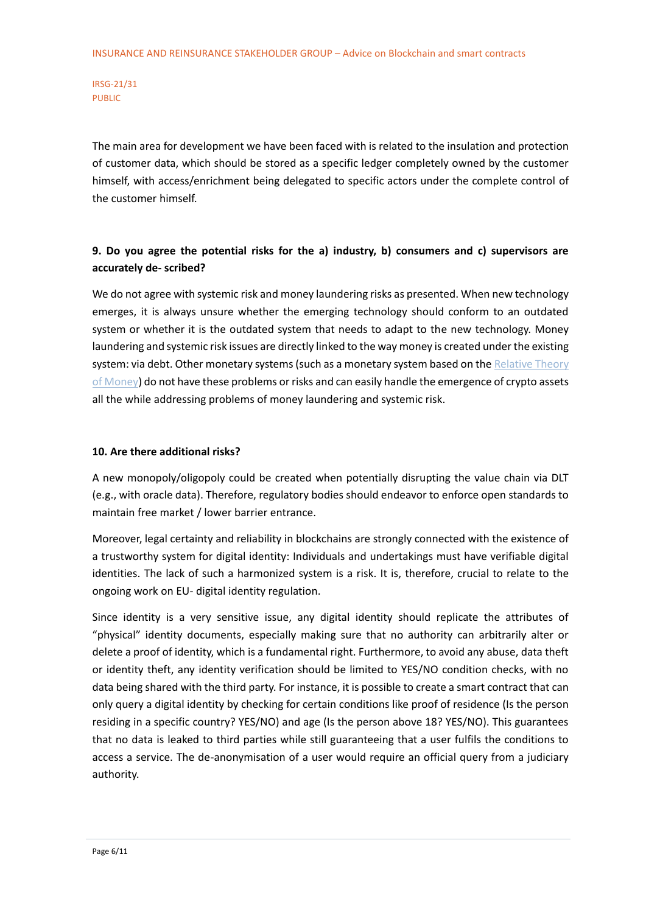The main area for development we have been faced with is related to the insulation and protection of customer data, which should be stored as a specific ledger completely owned by the customer himself, with access/enrichment being delegated to specific actors under the complete control of the customer himself.

## **9. Do you agree the potential risks for the a) industry, b) consumers and c) supervisors are accurately de- scribed?**

We do not agree with systemic risk and money laundering risks as presented. When new technology emerges, it is always unsure whether the emerging technology should conform to an outdated system or whether it is the outdated system that needs to adapt to the new technology. Money laundering and systemic risk issues are directly linked to the way money is created under the existing system: via debt. Other monetary systems (such as a monetary system based on the Relative Theory [of Money\)](https://en.trm.creationmonetaire.info/) do not have these problems or risks and can easily handle the emergence of crypto assets all the while addressing problems of money laundering and systemic risk.

#### **10. Are there additional risks?**

A new monopoly/oligopoly could be created when potentially disrupting the value chain via DLT (e.g., with oracle data). Therefore, regulatory bodies should endeavor to enforce open standards to maintain free market / lower barrier entrance.

Moreover, legal certainty and reliability in blockchains are strongly connected with the existence of a trustworthy system for digital identity: Individuals and undertakings must have verifiable digital identities. The lack of such a harmonized system is a risk. It is, therefore, crucial to relate to the ongoing work on EU- digital identity regulation.

Since identity is a very sensitive issue, any digital identity should replicate the attributes of "physical" identity documents, especially making sure that no authority can arbitrarily alter or delete a proof of identity, which is a fundamental right. Furthermore, to avoid any abuse, data theft or identity theft, any identity verification should be limited to YES/NO condition checks, with no data being shared with the third party. For instance, it is possible to create a smart contract that can only query a digital identity by checking for certain conditions like proof of residence (Is the person residing in a specific country? YES/NO) and age (Is the person above 18? YES/NO). This guarantees that no data is leaked to third parties while still guaranteeing that a user fulfils the conditions to access a service. The de-anonymisation of a user would require an official query from a judiciary authority.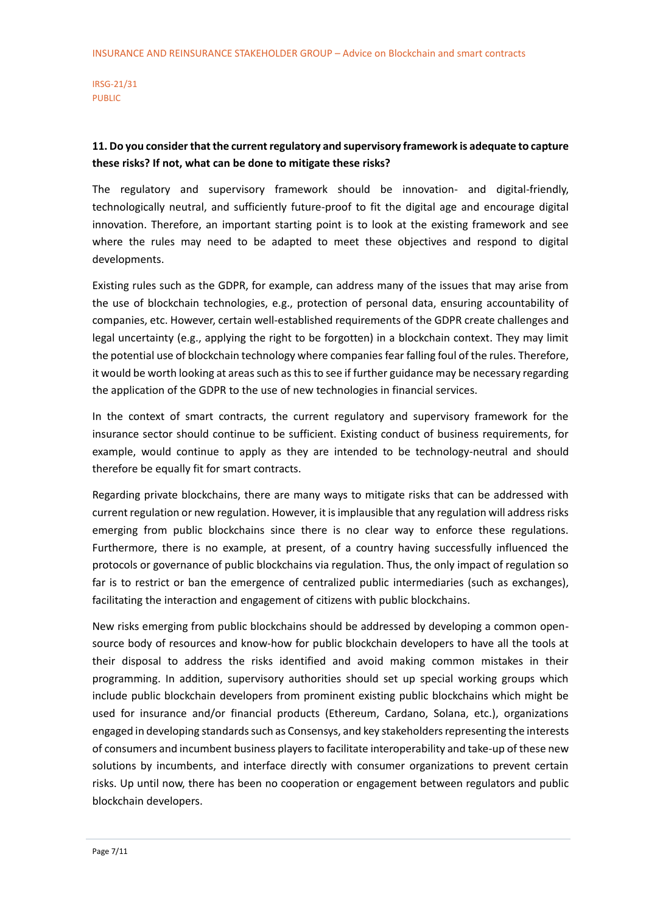## **11. Do you consider that the current regulatory and supervisory framework is adequate to capture these risks? If not, what can be done to mitigate these risks?**

The regulatory and supervisory framework should be innovation- and digital-friendly, technologically neutral, and sufficiently future-proof to fit the digital age and encourage digital innovation. Therefore, an important starting point is to look at the existing framework and see where the rules may need to be adapted to meet these objectives and respond to digital developments.

Existing rules such as the GDPR, for example, can address many of the issues that may arise from the use of blockchain technologies, e.g., protection of personal data, ensuring accountability of companies, etc. However, certain well-established requirements of the GDPR create challenges and legal uncertainty (e.g., applying the right to be forgotten) in a blockchain context. They may limit the potential use of blockchain technology where companies fear falling foul of the rules. Therefore, it would be worth looking at areas such as this to see if further guidance may be necessary regarding the application of the GDPR to the use of new technologies in financial services.

In the context of smart contracts, the current regulatory and supervisory framework for the insurance sector should continue to be sufficient. Existing conduct of business requirements, for example, would continue to apply as they are intended to be technology-neutral and should therefore be equally fit for smart contracts.

Regarding private blockchains, there are many ways to mitigate risks that can be addressed with current regulation or new regulation. However, it is implausible that any regulation will address risks emerging from public blockchains since there is no clear way to enforce these regulations. Furthermore, there is no example, at present, of a country having successfully influenced the protocols or governance of public blockchains via regulation. Thus, the only impact of regulation so far is to restrict or ban the emergence of centralized public intermediaries (such as exchanges), facilitating the interaction and engagement of citizens with public blockchains.

New risks emerging from public blockchains should be addressed by developing a common opensource body of resources and know-how for public blockchain developers to have all the tools at their disposal to address the risks identified and avoid making common mistakes in their programming. In addition, supervisory authorities should set up special working groups which include public blockchain developers from prominent existing public blockchains which might be used for insurance and/or financial products (Ethereum, Cardano, Solana, etc.), organizations engaged in developing standards such as Consensys, and key stakeholders representing the interests of consumers and incumbent business players to facilitate interoperability and take-up of these new solutions by incumbents, and interface directly with consumer organizations to prevent certain risks. Up until now, there has been no cooperation or engagement between regulators and public blockchain developers.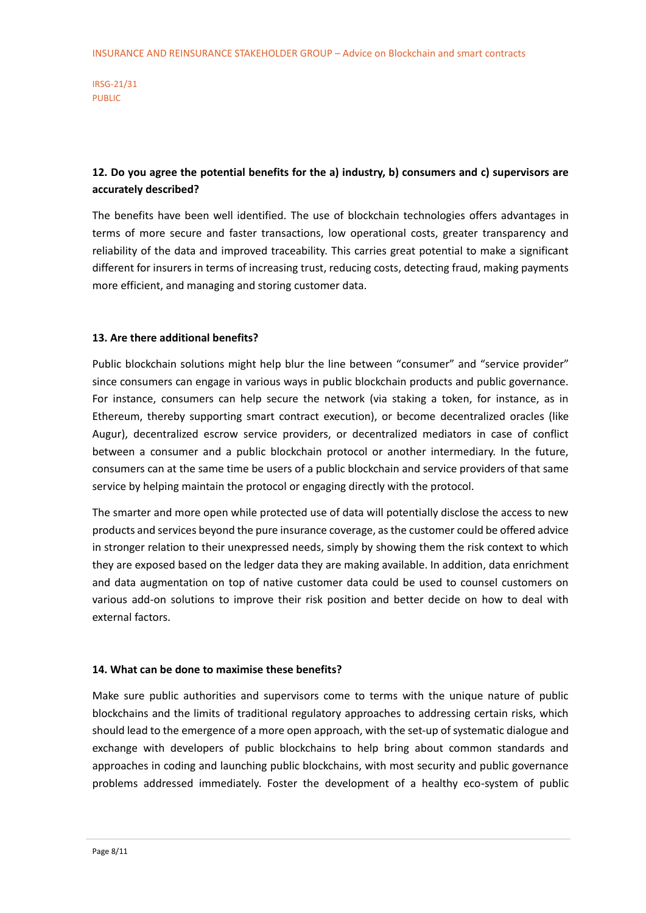## **12. Do you agree the potential benefits for the a) industry, b) consumers and c) supervisors are accurately described?**

The benefits have been well identified. The use of blockchain technologies offers advantages in terms of more secure and faster transactions, low operational costs, greater transparency and reliability of the data and improved traceability. This carries great potential to make a significant different for insurers in terms of increasing trust, reducing costs, detecting fraud, making payments more efficient, and managing and storing customer data.

#### **13. Are there additional benefits?**

Public blockchain solutions might help blur the line between "consumer" and "service provider" since consumers can engage in various ways in public blockchain products and public governance. For instance, consumers can help secure the network (via staking a token, for instance, as in Ethereum, thereby supporting smart contract execution), or become decentralized oracles (like Augur), decentralized escrow service providers, or decentralized mediators in case of conflict between a consumer and a public blockchain protocol or another intermediary. In the future, consumers can at the same time be users of a public blockchain and service providers of that same service by helping maintain the protocol or engaging directly with the protocol.

The smarter and more open while protected use of data will potentially disclose the access to new products and services beyond the pure insurance coverage, as the customer could be offered advice in stronger relation to their unexpressed needs, simply by showing them the risk context to which they are exposed based on the ledger data they are making available. In addition, data enrichment and data augmentation on top of native customer data could be used to counsel customers on various add-on solutions to improve their risk position and better decide on how to deal with external factors.

#### **14. What can be done to maximise these benefits?**

Make sure public authorities and supervisors come to terms with the unique nature of public blockchains and the limits of traditional regulatory approaches to addressing certain risks, which should lead to the emergence of a more open approach, with the set-up of systematic dialogue and exchange with developers of public blockchains to help bring about common standards and approaches in coding and launching public blockchains, with most security and public governance problems addressed immediately. Foster the development of a healthy eco-system of public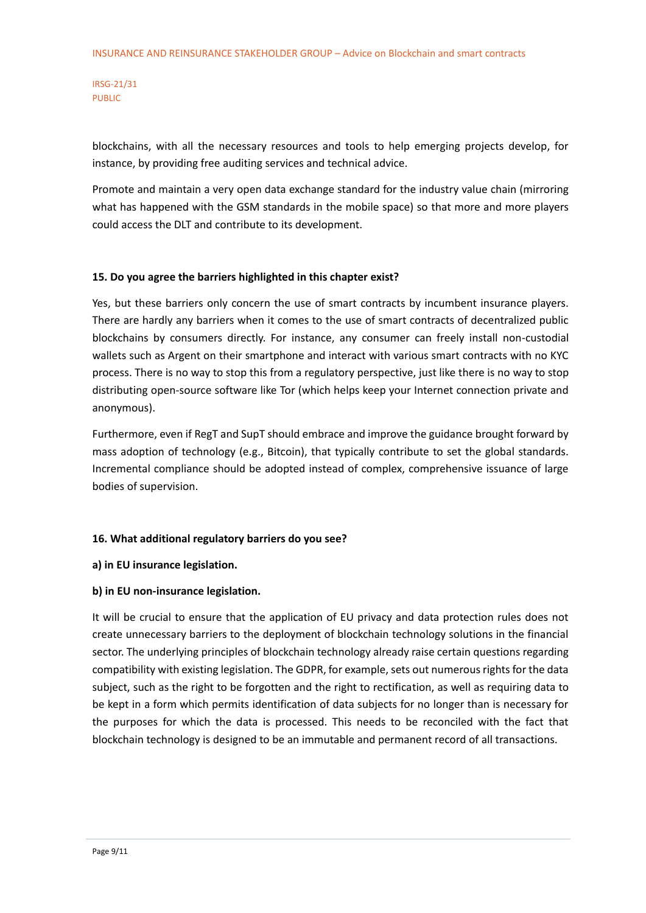blockchains, with all the necessary resources and tools to help emerging projects develop, for instance, by providing free auditing services and technical advice.

Promote and maintain a very open data exchange standard for the industry value chain (mirroring what has happened with the GSM standards in the mobile space) so that more and more players could access the DLT and contribute to its development.

## **15. Do you agree the barriers highlighted in this chapter exist?**

Yes, but these barriers only concern the use of smart contracts by incumbent insurance players. There are hardly any barriers when it comes to the use of smart contracts of decentralized public blockchains by consumers directly. For instance, any consumer can freely install non-custodial wallets such as Argent on their smartphone and interact with various smart contracts with no KYC process. There is no way to stop this from a regulatory perspective, just like there is no way to stop distributing open-source software like Tor (which helps keep your Internet connection private and anonymous).

Furthermore, even if RegT and SupT should embrace and improve the guidance brought forward by mass adoption of technology (e.g., Bitcoin), that typically contribute to set the global standards. Incremental compliance should be adopted instead of complex, comprehensive issuance of large bodies of supervision.

#### **16. What additional regulatory barriers do you see?**

#### **a) in EU insurance legislation.**

## **b) in EU non-insurance legislation.**

It will be crucial to ensure that the application of EU privacy and data protection rules does not create unnecessary barriers to the deployment of blockchain technology solutions in the financial sector. The underlying principles of blockchain technology already raise certain questions regarding compatibility with existing legislation. The GDPR, for example, sets out numerous rights for the data subject, such as the right to be forgotten and the right to rectification, as well as requiring data to be kept in a form which permits identification of data subjects for no longer than is necessary for the purposes for which the data is processed. This needs to be reconciled with the fact that blockchain technology is designed to be an immutable and permanent record of all transactions.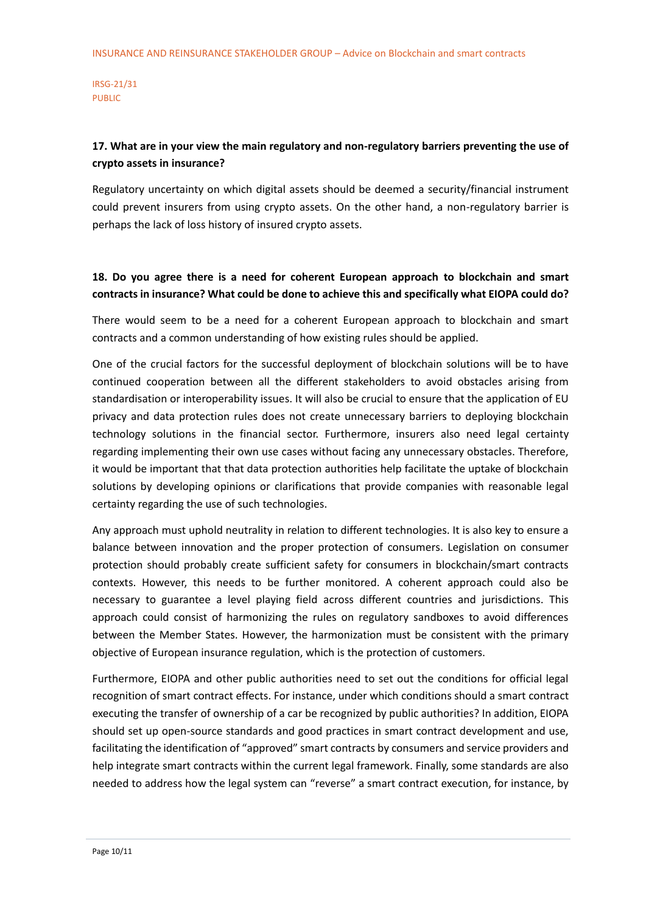## **17. What are in your view the main regulatory and non-regulatory barriers preventing the use of crypto assets in insurance?**

Regulatory uncertainty on which digital assets should be deemed a security/financial instrument could prevent insurers from using crypto assets. On the other hand, a non-regulatory barrier is perhaps the lack of loss history of insured crypto assets.

## **18. Do you agree there is a need for coherent European approach to blockchain and smart contracts in insurance? What could be done to achieve this and specifically what EIOPA could do?**

There would seem to be a need for a coherent European approach to blockchain and smart contracts and a common understanding of how existing rules should be applied.

One of the crucial factors for the successful deployment of blockchain solutions will be to have continued cooperation between all the different stakeholders to avoid obstacles arising from standardisation or interoperability issues. It will also be crucial to ensure that the application of EU privacy and data protection rules does not create unnecessary barriers to deploying blockchain technology solutions in the financial sector. Furthermore, insurers also need legal certainty regarding implementing their own use cases without facing any unnecessary obstacles. Therefore, it would be important that that data protection authorities help facilitate the uptake of blockchain solutions by developing opinions or clarifications that provide companies with reasonable legal certainty regarding the use of such technologies.

Any approach must uphold neutrality in relation to different technologies. It is also key to ensure a balance between innovation and the proper protection of consumers. Legislation on consumer protection should probably create sufficient safety for consumers in blockchain/smart contracts contexts. However, this needs to be further monitored. A coherent approach could also be necessary to guarantee a level playing field across different countries and jurisdictions. This approach could consist of harmonizing the rules on regulatory sandboxes to avoid differences between the Member States. However, the harmonization must be consistent with the primary objective of European insurance regulation, which is the protection of customers.

Furthermore, EIOPA and other public authorities need to set out the conditions for official legal recognition of smart contract effects. For instance, under which conditions should a smart contract executing the transfer of ownership of a car be recognized by public authorities? In addition, EIOPA should set up open-source standards and good practices in smart contract development and use, facilitating the identification of "approved" smart contracts by consumers and service providers and help integrate smart contracts within the current legal framework. Finally, some standards are also needed to address how the legal system can "reverse" a smart contract execution, for instance, by